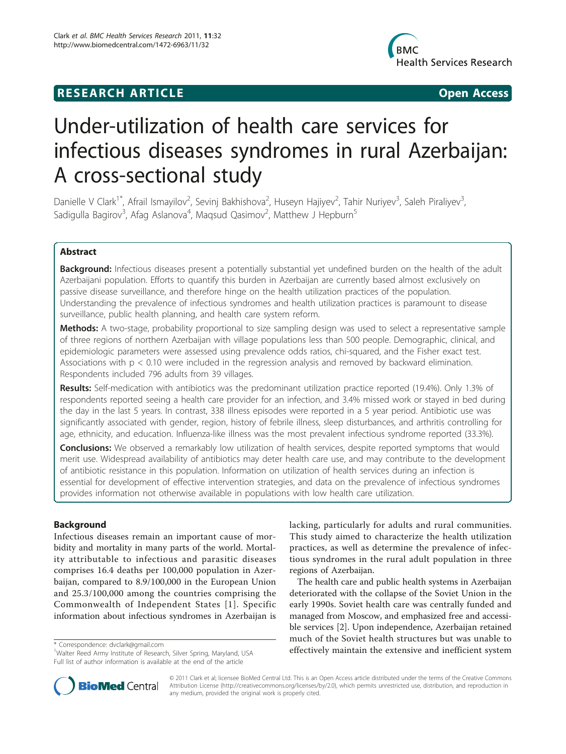## **RESEARCH ARTICLE Example 2018 12:00 Open Access**



# Under-utilization of health care services for infectious diseases syndromes in rural Azerbaijan: A cross-sectional study

Danielle V Clark<sup>1\*</sup>, Afrail Ismayilov<sup>2</sup>, Sevinj Bakhishova<sup>2</sup>, Huseyn Hajiyev<sup>2</sup>, Tahir Nuriyev<sup>3</sup>, Saleh Piraliyev<sup>3</sup> , Sadigulla Bagirov<sup>3</sup>, Afag Aslanova<sup>4</sup>, Maqsud Qasimov<sup>2</sup>, Matthew J Hepburn<sup>5</sup>

## Abstract

**Background:** Infectious diseases present a potentially substantial yet undefined burden on the health of the adult Azerbaijani population. Efforts to quantify this burden in Azerbaijan are currently based almost exclusively on passive disease surveillance, and therefore hinge on the health utilization practices of the population. Understanding the prevalence of infectious syndromes and health utilization practices is paramount to disease surveillance, public health planning, and health care system reform.

Methods: A two-stage, probability proportional to size sampling design was used to select a representative sample of three regions of northern Azerbaijan with village populations less than 500 people. Demographic, clinical, and epidemiologic parameters were assessed using prevalence odds ratios, chi-squared, and the Fisher exact test. Associations with p < 0.10 were included in the regression analysis and removed by backward elimination. Respondents included 796 adults from 39 villages.

Results: Self-medication with antibiotics was the predominant utilization practice reported (19.4%). Only 1.3% of respondents reported seeing a health care provider for an infection, and 3.4% missed work or stayed in bed during the day in the last 5 years. In contrast, 338 illness episodes were reported in a 5 year period. Antibiotic use was significantly associated with gender, region, history of febrile illness, sleep disturbances, and arthritis controlling for age, ethnicity, and education. Influenza-like illness was the most prevalent infectious syndrome reported (33.3%).

**Conclusions:** We observed a remarkably low utilization of health services, despite reported symptoms that would merit use. Widespread availability of antibiotics may deter health care use, and may contribute to the development of antibiotic resistance in this population. Information on utilization of health services during an infection is essential for development of effective intervention strategies, and data on the prevalence of infectious syndromes provides information not otherwise available in populations with low health care utilization.

## Background

Infectious diseases remain an important cause of morbidity and mortality in many parts of the world. Mortality attributable to infectious and parasitic diseases comprises 16.4 deaths per 100,000 population in Azerbaijan, compared to 8.9/100,000 in the European Union and 25.3/100,000 among the countries comprising the Commonwealth of Independent States [[1](#page-6-0)]. Specific information about infectious syndromes in Azerbaijan is

lacking, particularly for adults and rural communities. This study aimed to characterize the health utilization practices, as well as determine the prevalence of infectious syndromes in the rural adult population in three regions of Azerbaijan.

The health care and public health systems in Azerbaijan deteriorated with the collapse of the Soviet Union in the early 1990s. Soviet health care was centrally funded and managed from Moscow, and emphasized free and accessible services [[2](#page-6-0)]. Upon independence, Azerbaijan retained much of the Soviet health structures but was unable to effectively maintain the extensive and inefficient system \* Correspondence: [dvclark@gmail.com](mailto:dvclark@gmail.com) \* Correspondence: dvclark@gmail.com \* Correspondence: dvclark@gmail.com \* Correspondence: dvclark@gmail.com \* Correspondence: dv



© 2011 Clark et al; licensee BioMed Central Ltd. This is an Open Access article distributed under the terms of the Creative Commons Attribution License [\(http://creativecommons.org/licenses/by/2.0](http://creativecommons.org/licenses/by/2.0)), which permits unrestricted use, distribution, and reproduction in any medium, provided the original work is properly cited.

<sup>&</sup>lt;sup>1</sup>Walter Reed Army Institute of Research, Silver Spring, Maryland, USA Full list of author information is available at the end of the article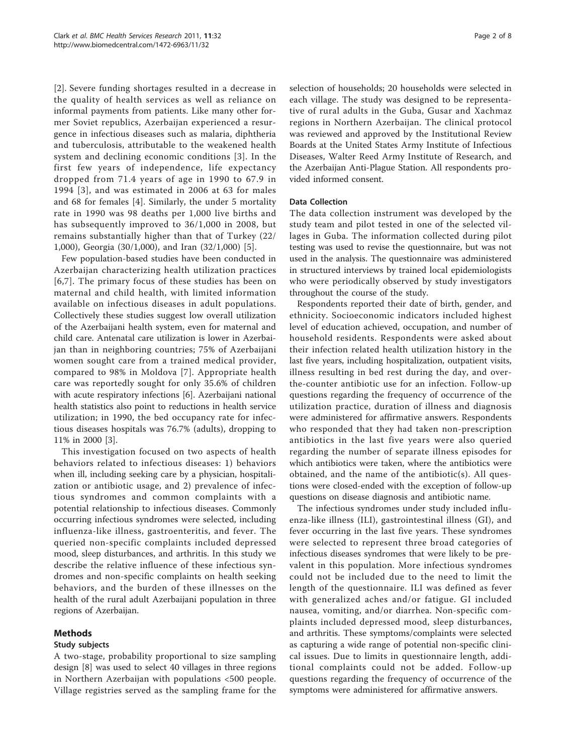[[2\]](#page-6-0). Severe funding shortages resulted in a decrease in the quality of health services as well as reliance on informal payments from patients. Like many other former Soviet republics, Azerbaijan experienced a resurgence in infectious diseases such as malaria, diphtheria and tuberculosis, attributable to the weakened health system and declining economic conditions [[3\]](#page-6-0). In the first few years of independence, life expectancy dropped from 71.4 years of age in 1990 to 67.9 in 1994 [[3](#page-6-0)], and was estimated in 2006 at 63 for males and 68 for females [[4\]](#page-6-0). Similarly, the under 5 mortality rate in 1990 was 98 deaths per 1,000 live births and has subsequently improved to 36/1,000 in 2008, but remains substantially higher than that of Turkey (22/ 1,000), Georgia (30/1,000), and Iran (32/1,000) [[5\]](#page-6-0).

Few population-based studies have been conducted in Azerbaijan characterizing health utilization practices [[6](#page-7-0),[7\]](#page-7-0). The primary focus of these studies has been on maternal and child health, with limited information available on infectious diseases in adult populations. Collectively these studies suggest low overall utilization of the Azerbaijani health system, even for maternal and child care. Antenatal care utilization is lower in Azerbaijan than in neighboring countries; 75% of Azerbaijani women sought care from a trained medical provider, compared to 98% in Moldova [\[7\]](#page-7-0). Appropriate health care was reportedly sought for only 35.6% of children with acute respiratory infections [\[6](#page-7-0)]. Azerbaijani national health statistics also point to reductions in health service utilization; in 1990, the bed occupancy rate for infectious diseases hospitals was 76.7% (adults), dropping to 11% in 2000 [[3\]](#page-6-0).

This investigation focused on two aspects of health behaviors related to infectious diseases: 1) behaviors when ill, including seeking care by a physician, hospitalization or antibiotic usage, and 2) prevalence of infectious syndromes and common complaints with a potential relationship to infectious diseases. Commonly occurring infectious syndromes were selected, including influenza-like illness, gastroenteritis, and fever. The queried non-specific complaints included depressed mood, sleep disturbances, and arthritis. In this study we describe the relative influence of these infectious syndromes and non-specific complaints on health seeking behaviors, and the burden of these illnesses on the health of the rural adult Azerbaijani population in three regions of Azerbaijan.

## Methods

## Study subjects

A two-stage, probability proportional to size sampling design [\[8](#page-7-0)] was used to select 40 villages in three regions in Northern Azerbaijan with populations <500 people. Village registries served as the sampling frame for the selection of households; 20 households were selected in each village. The study was designed to be representative of rural adults in the Guba, Gusar and Xachmaz regions in Northern Azerbaijan. The clinical protocol was reviewed and approved by the Institutional Review Boards at the United States Army Institute of Infectious Diseases, Walter Reed Army Institute of Research, and the Azerbaijan Anti-Plague Station. All respondents provided informed consent.

## Data Collection

The data collection instrument was developed by the study team and pilot tested in one of the selected villages in Guba. The information collected during pilot testing was used to revise the questionnaire, but was not used in the analysis. The questionnaire was administered in structured interviews by trained local epidemiologists who were periodically observed by study investigators throughout the course of the study.

Respondents reported their date of birth, gender, and ethnicity. Socioeconomic indicators included highest level of education achieved, occupation, and number of household residents. Respondents were asked about their infection related health utilization history in the last five years, including hospitalization, outpatient visits, illness resulting in bed rest during the day, and overthe-counter antibiotic use for an infection. Follow-up questions regarding the frequency of occurrence of the utilization practice, duration of illness and diagnosis were administered for affirmative answers. Respondents who responded that they had taken non-prescription antibiotics in the last five years were also queried regarding the number of separate illness episodes for which antibiotics were taken, where the antibiotics were obtained, and the name of the antibiotic(s). All questions were closed-ended with the exception of follow-up questions on disease diagnosis and antibiotic name.

The infectious syndromes under study included influenza-like illness (ILI), gastrointestinal illness (GI), and fever occurring in the last five years. These syndromes were selected to represent three broad categories of infectious diseases syndromes that were likely to be prevalent in this population. More infectious syndromes could not be included due to the need to limit the length of the questionnaire. ILI was defined as fever with generalized aches and/or fatigue. GI included nausea, vomiting, and/or diarrhea. Non-specific complaints included depressed mood, sleep disturbances, and arthritis. These symptoms/complaints were selected as capturing a wide range of potential non-specific clinical issues. Due to limits in questionnaire length, additional complaints could not be added. Follow-up questions regarding the frequency of occurrence of the symptoms were administered for affirmative answers.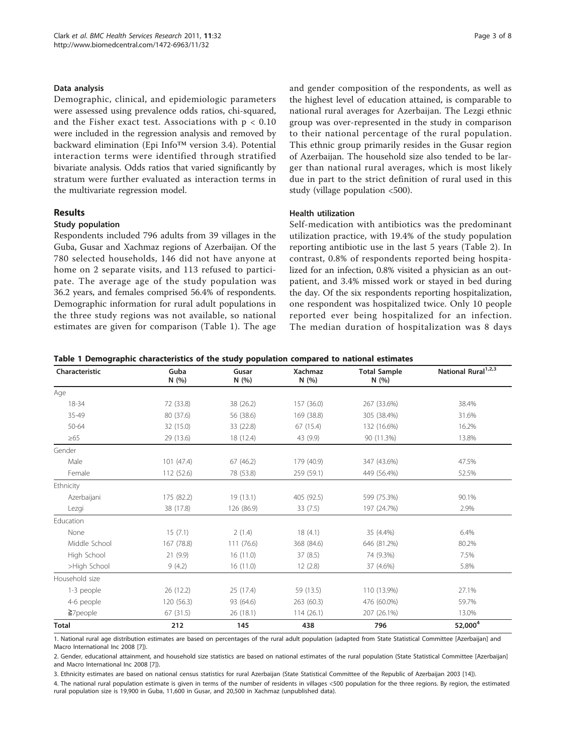## Data analysis

Demographic, clinical, and epidemiologic parameters were assessed using prevalence odds ratios, chi-squared, and the Fisher exact test. Associations with  $p < 0.10$ were included in the regression analysis and removed by backward elimination (Epi Info™ version 3.4). Potential interaction terms were identified through stratified bivariate analysis. Odds ratios that varied significantly by stratum were further evaluated as interaction terms in the multivariate regression model.

## Results

### Study population

Respondents included 796 adults from 39 villages in the Guba, Gusar and Xachmaz regions of Azerbaijan. Of the 780 selected households, 146 did not have anyone at home on 2 separate visits, and 113 refused to participate. The average age of the study population was 36.2 years, and females comprised 56.4% of respondents. Demographic information for rural adult populations in the three study regions was not available, so national estimates are given for comparison (Table 1). The age and gender composition of the respondents, as well as the highest level of education attained, is comparable to national rural averages for Azerbaijan. The Lezgi ethnic group was over-represented in the study in comparison to their national percentage of the rural population. This ethnic group primarily resides in the Gusar region of Azerbaijan. The household size also tended to be larger than national rural averages, which is most likely due in part to the strict definition of rural used in this study (village population <500).

## Health utilization

Self-medication with antibiotics was the predominant utilization practice, with 19.4% of the study population reporting antibiotic use in the last 5 years (Table [2\)](#page-3-0). In contrast, 0.8% of respondents reported being hospitalized for an infection, 0.8% visited a physician as an outpatient, and 3.4% missed work or stayed in bed during the day. Of the six respondents reporting hospitalization, one respondent was hospitalized twice. Only 10 people reported ever being hospitalized for an infection. The median duration of hospitalization was 8 days

Table 1 Demographic characteristics of the study population compared to national estimates

| Characteristic  | Guba<br>N(%) | Gusar<br>N(%) | Xachmaz<br>N(%) | <b>Total Sample</b><br>N(%) | National Rural <sup>1,2,3</sup> |
|-----------------|--------------|---------------|-----------------|-----------------------------|---------------------------------|
| Age             |              |               |                 |                             |                                 |
| 18-34           | 72 (33.8)    | 38 (26.2)     | 157 (36.0)      | 267 (33.6%)                 | 38.4%                           |
| 35-49           | 80 (37.6)    | 56 (38.6)     | 169 (38.8)      | 305 (38.4%)                 | 31.6%                           |
| 50-64           | 32 (15.0)    | 33 (22.8)     | 67 (15.4)       | 132 (16.6%)                 | 16.2%                           |
| $\geq 65$       | 29 (13.6)    | 18 (12.4)     | 43 (9.9)        | 90 (11.3%)                  | 13.8%                           |
| Gender          |              |               |                 |                             |                                 |
| Male            | 101(47.4)    | 67(46.2)      | 179 (40.9)      | 347 (43.6%)                 | 47.5%                           |
| Female          | 112 (52.6)   | 78 (53.8)     | 259 (59.1)      | 449 (56.4%)                 | 52.5%                           |
| Ethnicity       |              |               |                 |                             |                                 |
| Azerbaijani     | 175 (82.2)   | 19(13.1)      | 405 (92.5)      | 599 (75.3%)                 | 90.1%                           |
| Lezgi           | 38 (17.8)    | 126 (86.9)    | 33(7.5)         | 197 (24.7%)                 | 2.9%                            |
| Education       |              |               |                 |                             |                                 |
| None            | 15(7.1)      | 2(1.4)        | 18(4.1)         | 35 (4.4%)                   | 6.4%                            |
| Middle School   | 167 (78.8)   | 111 (76.6)    | 368 (84.6)      | 646 (81.2%)                 | 80.2%                           |
| High School     | 21(9.9)      | 16(11.0)      | 37(8.5)         | 74 (9.3%)                   | 7.5%                            |
| >High School    | 9(4.2)       | 16(11.0)      | 12(2.8)         | 37 (4.6%)                   | 5.8%                            |
| Household size  |              |               |                 |                             |                                 |
| 1-3 people      | 26(12.2)     | 25 (17.4)     | 59 (13.5)       | 110 (13.9%)                 | 27.1%                           |
| 4-6 people      | 120 (56.3)   | 93 (64.6)     | 263 (60.3)      | 476 (60.0%)                 | 59.7%                           |
| $\geq$ 7 people | 67(31.5)     | 26(18.1)      | 114(26.1)       | 207 (26.1%)                 | 13.0%                           |
| <b>Total</b>    | 212          | 145           | 438             | 796                         | 52,0004                         |

1. National rural age distribution estimates are based on percentages of the rural adult population (adapted from State Statistical Committee [Azerbaijan] and Macro International Inc 2008 [\[7\]](#page-7-0)).

2. Gender, educational attainment, and household size statistics are based on national estimates of the rural population (State Statistical Committee [Azerbaijan] and Macro International Inc 2008 [[7](#page-7-0)]).

3. Ethnicity estimates are based on national census statistics for rural Azerbaijan (State Statistical Committee of the Republic of Azerbaijan 2003 [[14](#page-7-0)]).

4. The national rural population estimate is given in terms of the number of residents in villages <500 population for the three regions. By region, the estimated rural population size is 19,900 in Guba, 11,600 in Gusar, and 20,500 in Xachmaz (unpublished data).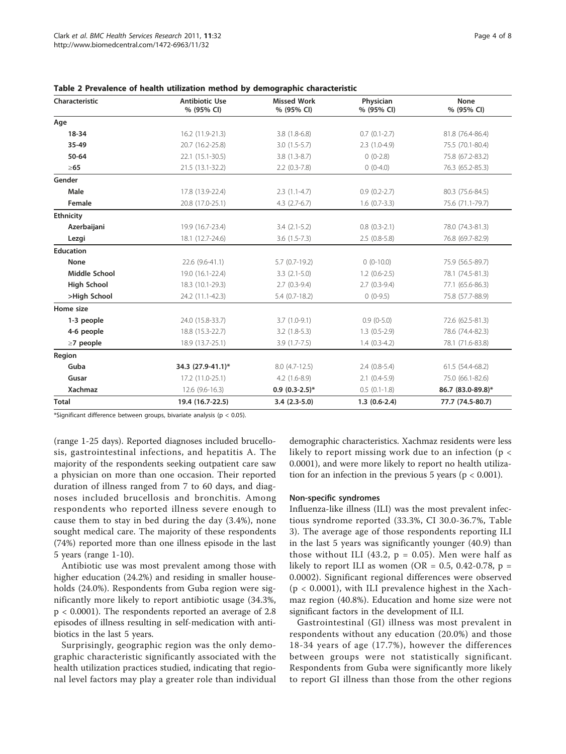| Characteristic     | <b>Antibiotic Use</b><br>% (95% CI) | <b>Missed Work</b><br>% (95% CI) | Physician<br>% (95% CI) | None<br>% (95% CI) |
|--------------------|-------------------------------------|----------------------------------|-------------------------|--------------------|
| Age                |                                     |                                  |                         |                    |
| 18-34              | 16.2 (11.9-21.3)                    | $3.8(1.8-6.8)$                   | $0.7$ $(0.1 - 2.7)$     | 81.8 (76.4-86.4)   |
| 35-49              | 20.7 (16.2-25.8)                    | $3.0(1.5-5.7)$                   | $2.3(1.0-4.9)$          | 75.5 (70.1-80.4)   |
| 50-64              | 22.1 (15.1-30.5)                    | $3.8(1.3-8.7)$                   | $0(0-2.8)$              | 75.8 (67.2-83.2)   |
| $\geq 65$          | 21.5 (13.1-32.2)                    | $2.2$ (0.3-7.8)                  | $0(0-4.0)$              | 76.3 (65.2-85.3)   |
| Gender             |                                     |                                  |                         |                    |
| Male               | 17.8 (13.9-22.4)                    | $2.3(1.1-4.7)$                   | $0.9(0.2-2.7)$          | 80.3 (75.6-84.5)   |
| Female             | 20.8 (17.0-25.1)                    | $4.3(2.7-6.7)$                   | $1.6(0.7-3.3)$          | 75.6 (71.1-79.7)   |
| <b>Ethnicity</b>   |                                     |                                  |                         |                    |
| Azerbaijani        | 19.9 (16.7-23.4)                    | $3.4(2.1-5.2)$                   | $0.8(0.3-2.1)$          | 78.0 (74.3-81.3)   |
| Lezgi              | 18.1 (12.7-24.6)                    | $3.6(1.5-7.3)$                   | $2.5(0.8-5.8)$          | 76.8 (69.7-82.9)   |
| <b>Education</b>   |                                     |                                  |                         |                    |
| None               | 22.6 (9.6-41.1)                     | $5.7(0.7-19.2)$                  | $0(0-10.0)$             | 75.9 (56.5-89.7)   |
| Middle School      | 19.0 (16.1-22.4)                    | $3.3(2.1-5.0)$                   | $1.2(0.6-2.5)$          | 78.1 (74.5-81.3)   |
| <b>High School</b> | 18.3 (10.1-29.3)                    | $2.7(0.3-9.4)$                   | $2.7(0.3-9.4)$          | 77.1 (65.6-86.3)   |
| >High School       | 24.2 (11.1-42.3)                    | $5.4(0.7-18.2)$                  | $0(0-9.5)$              | 75.8 (57.7-88.9)   |
| Home size          |                                     |                                  |                         |                    |
| 1-3 people         | 24.0 (15.8-33.7)                    | $3.7(1.0-9.1)$                   | $0.9(0-5.0)$            | 72.6 (62.5-81.3)   |
| 4-6 people         | 18.8 (15.3-22.7)                    | $3.2(1.8-5.3)$                   | $1.3(0.5-2.9)$          | 78.6 (74.4-82.3)   |
| $\geq$ 7 people    | 18.9 (13.7-25.1)                    | $3.9(1.7-7.5)$                   | $1.4(0.3-4.2)$          | 78.1 (71.6-83.8)   |
| Region             |                                     |                                  |                         |                    |
| Guba               | 34.3 (27.9-41.1)*                   | $8.0(4.7-12.5)$                  | $2.4(0.8-5.4)$          | 61.5 (54.4-68.2)   |
| Gusar              | 17.2 (11.0-25.1)                    | $4.2(1.6-8.9)$                   | $2.1(0.4-5.9)$          | 75.0 (66.1-82.6)   |
| Xachmaz            | $12.6(9.6-16.3)$                    | $0.9(0.3-2.5)$ *                 | $0.5(0.1-1.8)$          | 86.7 (83.0-89.8)*  |
| <b>Total</b>       | 19.4 (16.7-22.5)                    | $3.4(2.3-5.0)$                   | $1.3(0.6-2.4)$          | 77.7 (74.5-80.7)   |

<span id="page-3-0"></span>Table 2 Prevalence of health utilization method by demographic characteristic

\*Significant difference between groups, bivariate analysis ( $p < 0.05$ ).

(range 1-25 days). Reported diagnoses included brucellosis, gastrointestinal infections, and hepatitis A. The majority of the respondents seeking outpatient care saw a physician on more than one occasion. Their reported duration of illness ranged from 7 to 60 days, and diagnoses included brucellosis and bronchitis. Among respondents who reported illness severe enough to cause them to stay in bed during the day (3.4%), none sought medical care. The majority of these respondents (74%) reported more than one illness episode in the last 5 years (range 1-10).

Antibiotic use was most prevalent among those with higher education (24.2%) and residing in smaller households (24.0%). Respondents from Guba region were significantly more likely to report antibiotic usage (34.3%, p < 0.0001). The respondents reported an average of 2.8 episodes of illness resulting in self-medication with antibiotics in the last 5 years.

Surprisingly, geographic region was the only demographic characteristic significantly associated with the health utilization practices studied, indicating that regional level factors may play a greater role than individual

demographic characteristics. Xachmaz residents were less likely to report missing work due to an infection (p < 0.0001), and were more likely to report no health utilization for an infection in the previous 5 years ( $p < 0.001$ ).

#### Non-specific syndromes

Influenza-like illness (ILI) was the most prevalent infectious syndrome reported (33.3%, CI 30.0-36.7%, Table [3\)](#page-4-0). The average age of those respondents reporting ILI in the last 5 years was significantly younger (40.9) than those without ILI (43.2,  $p = 0.05$ ). Men were half as likely to report ILI as women (OR = 0.5, 0.42-0.78,  $p =$ 0.0002). Significant regional differences were observed  $(p < 0.0001)$ , with ILI prevalence highest in the Xachmaz region (40.8%). Education and home size were not significant factors in the development of ILI.

Gastrointestinal (GI) illness was most prevalent in respondents without any education (20.0%) and those 18-34 years of age (17.7%), however the differences between groups were not statistically significant. Respondents from Guba were significantly more likely to report GI illness than those from the other regions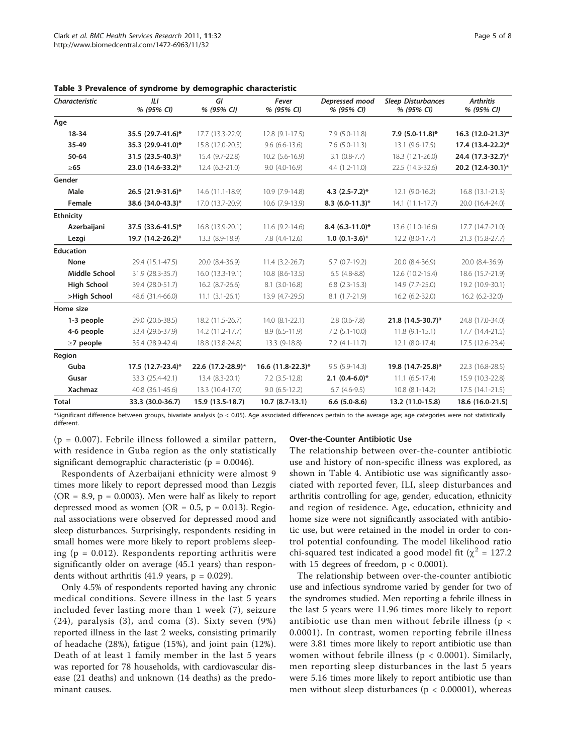| <b>Characteristic</b> | ILI<br>% (95% CI) | GI<br>% (95% CI)  | Fever<br>% (95% CI) | Depressed mood<br>% (95% CI) | <b>Sleep Disturbances</b><br>% (95% CI) | <b>Arthritis</b><br>% (95% CI) |
|-----------------------|-------------------|-------------------|---------------------|------------------------------|-----------------------------------------|--------------------------------|
| Age                   |                   |                   |                     |                              |                                         |                                |
| 18-34                 | 35.5 (29.7-41.6)* | 17.7 (13.3-22.9)  | $12.8(9.1-17.5)$    | $7.9(5.0-11.8)$              | $7.9(5.0-11.8)$ *                       | 16.3 (12.0-21.3)*              |
| 35-49                 | 35.3 (29.9-41.0)* | 15.8 (12.0-20.5)  | $9.6(6.6-13.6)$     | $7.6$ $(5.0-11.3)$           | $13.1 (9.6 - 17.5)$                     | 17.4 (13.4-22.2)*              |
| 50-64                 | 31.5 (23.5-40.3)* | 15.4 (9.7-22.8)   | 10.2 (5.6-16.9)     | $3.1 (0.8 - 7.7)$            | 18.3 (12.1-26.0)                        | 24.4 (17.3-32.7)*              |
| $\geq 65$             | 23.0 (14.6-33.2)* | $12.4(6.3-21.0)$  | $9.0(4.0-16.9)$     | 4.4 (1.2-11.0)               | 22.5 (14.3-32.6)                        | 20.2 (12.4-30.1)*              |
| Gender                |                   |                   |                     |                              |                                         |                                |
| Male                  | 26.5 (21.9-31.6)* | 14.6 (11.1-18.9)  | 10.9 (7.9-14.8)     | 4.3 $(2.5-7.2)$ *            | $12.1(9.0-16.2)$                        | 16.8 (13.1-21.3)               |
| Female                | 38.6 (34.0-43.3)* | 17.0 (13.7-20.9)  | 10.6 (7.9-13.9)     | 8.3 $(6.0-11.3)$ *           | $14.1(11.1-17.7)$                       | 20.0 (16.4-24.0)               |
| Ethnicity             |                   |                   |                     |                              |                                         |                                |
| Azerbaijani           | 37.5 (33.6-41.5)* | 16.8 (13.9-20.1)  | $11.6(9.2 - 14.6)$  | 8.4 $(6.3-11.0)$ *           | 13.6 (11.0-16.6)                        | 17.7 (14.7-21.0)               |
| Lezgi                 | 19.7 (14.2-26.2)* | 13.3 (8.9-18.9)   | 7.8 (4.4-12.6)      | $1.0 (0.1 - 3.6)^*$          | 12.2 (8.0-17.7)                         | 21.3 (15.8-27.7)               |
| <b>Education</b>      |                   |                   |                     |                              |                                         |                                |
| None                  | 29.4 (15.1-47.5)  | 20.0 (8.4-36.9)   | $11.4(3.2 - 26.7)$  | $5.7(0.7-19.2)$              | 20.0 (8.4-36.9)                         | 20.0 (8.4-36.9)                |
| Middle School         | 31.9 (28.3-35.7)  | 16.0 (13.3-19.1)  | 10.8 (8.6-13.5)     | $6.5(4.8-8.8)$               | 12.6 (10.2-15.4)                        | 18.6 (15.7-21.9)               |
| <b>High School</b>    | 39.4 (28.0-51.7)  | $16.2$ (8.7-26.6) | $8.1(3.0-16.8)$     | $6.8$ $(2.3-15.3)$           | 14.9 (7.7-25.0)                         | 19.2 (10.9-30.1)               |
| >High School          | 48.6 (31.4-66.0)  | $11.1(3.1-26.1)$  | 13.9 (4.7-29.5)     | $8.1(1.7-21.9)$              | 16.2 (6.2-32.0)                         | 16.2 (6.2-32.0)                |
| Home size             |                   |                   |                     |                              |                                         |                                |
| 1-3 people            | 29.0 (20.6-38.5)  | 18.2 (11.5-26.7)  | 14.0 (8.1-22.1)     | $2.8(0.6-7.8)$               | 21.8 (14.5-30.7)*                       | 24.8 (17.0-34.0)               |
| 4-6 people            | 33.4 (29.6-37.9)  | 14.2 (11.2-17.7)  | $8.9(6.5-11.9)$     | $7.2$ $(5.1 - 10.0)$         | $11.8(9.1-15.1)$                        | 17.7 (14.4-21.5)               |
| $\geq$ 7 people       | 35.4 (28.9-42.4)  | 18.8 (13.8-24.8)  | 13.3 (9-18.8)       | $7.2$ $(4.1 - 11.7)$         | 12.1 (8.0-17.4)                         | 17.5 (12.6-23.4)               |
| Region                |                   |                   |                     |                              |                                         |                                |
| Guba                  | 17.5 (12.7-23.4)* | 22.6 (17.2-28.9)* | 16.6 (11.8-22.3)*   | $9.5(5.9-14.3)$              | 19.8 (14.7-25.8)*                       | 22.3 (16.8-28.5)               |
| Gusar                 | 33.3 (25.4-42.1)  | 13.4 (8.3-20.1)   | $7.2$ $(3.5-12.8)$  | $2.1$ (0.4-6.0)*             | $11.1 (6.5 - 17.4)$                     | 15.9 (10.3-22.8)               |
| Xachmaz               | 40.8 (36.1-45.6)  | 13.3 (10.4-17.0)  | $9.0(6.5-12.2)$     | $6.7(4.6-9.5)$               | $10.8$ $(8.1 - 14.2)$                   | $17.5(14.1-21.5)$              |
| <b>Total</b>          | 33.3 (30.0-36.7)  | 15.9 (13.5-18.7)  | $10.7(8.7-13.1)$    | $6.6$ $(5.0-8.6)$            | 13.2 (11.0-15.8)                        | 18.6 (16.0-21.5)               |

<span id="page-4-0"></span>Table 3 Prevalence of syndrome by demographic characteristic

\*Significant difference between groups, bivariate analysis (p < 0.05). Age associated differences pertain to the average age; age categories were not statistically different.

 $(p = 0.007)$ . Febrile illness followed a similar pattern, with residence in Guba region as the only statistically significant demographic characteristic ( $p = 0.0046$ ).

Respondents of Azerbaijani ethnicity were almost 9 times more likely to report depressed mood than Lezgis ( $OR = 8.9$ ,  $p = 0.0003$ ). Men were half as likely to report depressed mood as women (OR =  $0.5$ , p = 0.013). Regional associations were observed for depressed mood and sleep disturbances. Surprisingly, respondents residing in small homes were more likely to report problems sleeping ( $p = 0.012$ ). Respondents reporting arthritis were significantly older on average (45.1 years) than respondents without arthritis (41.9 years,  $p = 0.029$ ).

Only 4.5% of respondents reported having any chronic medical conditions. Severe illness in the last 5 years included fever lasting more than 1 week (7), seizure (24), paralysis (3), and coma (3). Sixty seven (9%) reported illness in the last 2 weeks, consisting primarily of headache (28%), fatigue (15%), and joint pain (12%). Death of at least 1 family member in the last 5 years was reported for 78 households, with cardiovascular disease (21 deaths) and unknown (14 deaths) as the predominant causes.

#### Over-the-Counter Antibiotic Use

The relationship between over-the-counter antibiotic use and history of non-specific illness was explored, as shown in Table [4](#page-5-0). Antibiotic use was significantly associated with reported fever, ILI, sleep disturbances and arthritis controlling for age, gender, education, ethnicity and region of residence. Age, education, ethnicity and home size were not significantly associated with antibiotic use, but were retained in the model in order to control potential confounding. The model likelihood ratio chi-squared test indicated a good model fit ( $\chi^2$  = 127.2 with 15 degrees of freedom,  $p < 0.0001$ ).

The relationship between over-the-counter antibiotic use and infectious syndrome varied by gender for two of the syndromes studied. Men reporting a febrile illness in the last 5 years were 11.96 times more likely to report antibiotic use than men without febrile illness ( $p <$ 0.0001). In contrast, women reporting febrile illness were 3.81 times more likely to report antibiotic use than women without febrile illness ( $p < 0.0001$ ). Similarly, men reporting sleep disturbances in the last 5 years were 5.16 times more likely to report antibiotic use than men without sleep disturbances ( $p < 0.00001$ ), whereas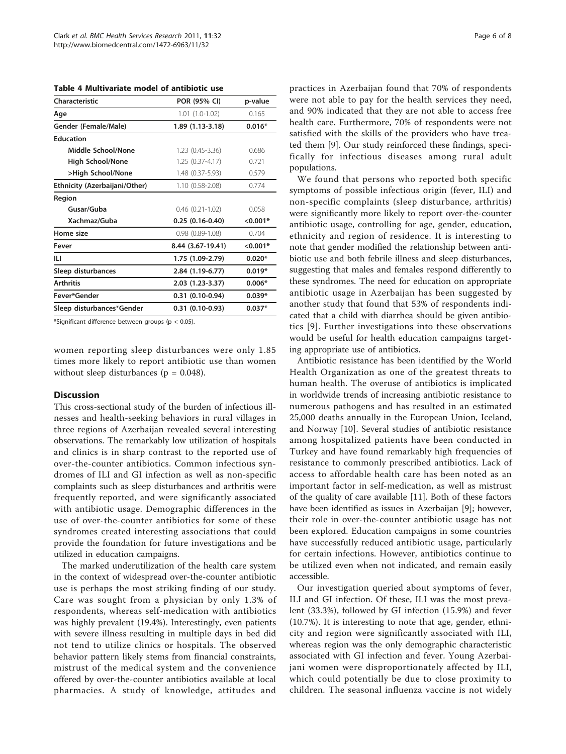<span id="page-5-0"></span>Table 4 Multivariate model of antibiotic use

| Characteristic                | <b>POR (95% CI)</b>    | p-value    |
|-------------------------------|------------------------|------------|
| Age                           | $1.01(1.0-1.02)$       | 0.165      |
| Gender (Female/Male)          | 1.89 (1.13-3.18)       | $0.016*$   |
| <b>Education</b>              |                        |            |
| Middle School/None            | $1.23(0.45-3.36)$      | 0.686      |
| High School/None              | 1.25 (0.37-4.17)       | 0.721      |
| >High School/None             | 1.48 (0.37-5.93)       | 0.579      |
| Ethnicity (Azerbaijani/Other) | $1.10(0.58-2.08)$      | 0.774      |
| Region                        |                        |            |
| Gusar/Guba                    | $0.46$ $(0.21 - 1.02)$ | 0.058      |
| Xachmaz/Guba                  | $0.25(0.16-0.40)$      | $< 0.001*$ |
| Home size                     | $0.98(0.89-1.08)$      | 0.704      |
| Fever                         | 8.44 (3.67-19.41)      | $< 0.001*$ |
| ш                             | 1.75 (1.09-2.79)       | $0.020*$   |
| Sleep disturbances            | 2.84 (1.19-6.77)       | $0.019*$   |
| <b>Arthritis</b>              | 2.03 (1.23-3.37)       | $0.006*$   |
| Fever*Gender                  | $0.31(0.10-0.94)$      | $0.039*$   |
| Sleep disturbances*Gender     | $0.31(0.10-0.93)$      | $0.037*$   |

\*Significant difference between groups ( $p < 0.05$ ).

women reporting sleep disturbances were only 1.85 times more likely to report antibiotic use than women without sleep disturbances ( $p = 0.048$ ).

#### **Discussion**

This cross-sectional study of the burden of infectious illnesses and health-seeking behaviors in rural villages in three regions of Azerbaijan revealed several interesting observations. The remarkably low utilization of hospitals and clinics is in sharp contrast to the reported use of over-the-counter antibiotics. Common infectious syndromes of ILI and GI infection as well as non-specific complaints such as sleep disturbances and arthritis were frequently reported, and were significantly associated with antibiotic usage. Demographic differences in the use of over-the-counter antibiotics for some of these syndromes created interesting associations that could provide the foundation for future investigations and be utilized in education campaigns.

The marked underutilization of the health care system in the context of widespread over-the-counter antibiotic use is perhaps the most striking finding of our study. Care was sought from a physician by only 1.3% of respondents, whereas self-medication with antibiotics was highly prevalent (19.4%). Interestingly, even patients with severe illness resulting in multiple days in bed did not tend to utilize clinics or hospitals. The observed behavior pattern likely stems from financial constraints, mistrust of the medical system and the convenience offered by over-the-counter antibiotics available at local pharmacies. A study of knowledge, attitudes and practices in Azerbaijan found that 70% of respondents were not able to pay for the health services they need, and 90% indicated that they are not able to access free health care. Furthermore, 70% of respondents were not satisfied with the skills of the providers who have treated them [\[9](#page-7-0)]. Our study reinforced these findings, specifically for infectious diseases among rural adult populations.

We found that persons who reported both specific symptoms of possible infectious origin (fever, ILI) and non-specific complaints (sleep disturbance, arthritis) were significantly more likely to report over-the-counter antibiotic usage, controlling for age, gender, education, ethnicity and region of residence. It is interesting to note that gender modified the relationship between antibiotic use and both febrile illness and sleep disturbances, suggesting that males and females respond differently to these syndromes. The need for education on appropriate antibiotic usage in Azerbaijan has been suggested by another study that found that 53% of respondents indicated that a child with diarrhea should be given antibiotics [\[9\]](#page-7-0). Further investigations into these observations would be useful for health education campaigns targeting appropriate use of antibiotics.

Antibiotic resistance has been identified by the World Health Organization as one of the greatest threats to human health. The overuse of antibiotics is implicated in worldwide trends of increasing antibiotic resistance to numerous pathogens and has resulted in an estimated 25,000 deaths annually in the European Union, Iceland, and Norway [[10\]](#page-7-0). Several studies of antibiotic resistance among hospitalized patients have been conducted in Turkey and have found remarkably high frequencies of resistance to commonly prescribed antibiotics. Lack of access to affordable health care has been noted as an important factor in self-medication, as well as mistrust of the quality of care available [\[11\]](#page-7-0). Both of these factors have been identified as issues in Azerbaijan [\[9\]](#page-7-0); however, their role in over-the-counter antibiotic usage has not been explored. Education campaigns in some countries have successfully reduced antibiotic usage, particularly for certain infections. However, antibiotics continue to be utilized even when not indicated, and remain easily accessible.

Our investigation queried about symptoms of fever, ILI and GI infection. Of these, ILI was the most prevalent (33.3%), followed by GI infection (15.9%) and fever (10.7%). It is interesting to note that age, gender, ethnicity and region were significantly associated with ILI, whereas region was the only demographic characteristic associated with GI infection and fever. Young Azerbaijani women were disproportionately affected by ILI, which could potentially be due to close proximity to children. The seasonal influenza vaccine is not widely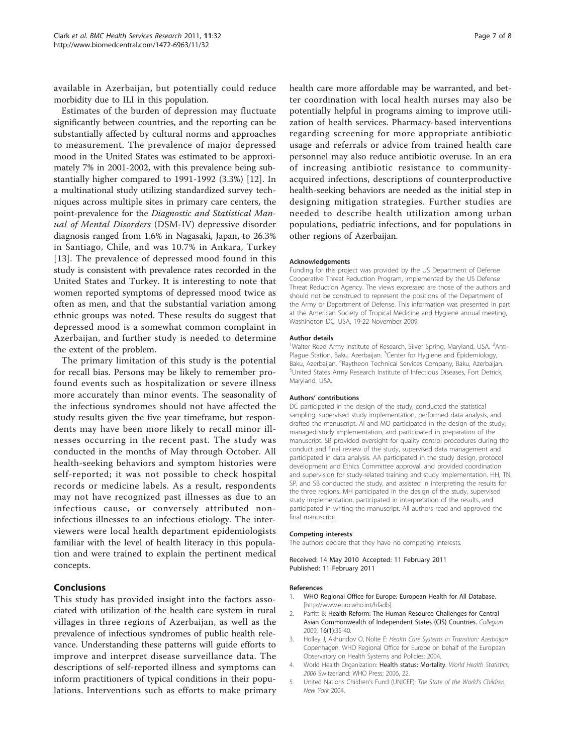<span id="page-6-0"></span>available in Azerbaijan, but potentially could reduce morbidity due to ILI in this population.

Estimates of the burden of depression may fluctuate significantly between countries, and the reporting can be substantially affected by cultural norms and approaches to measurement. The prevalence of major depressed mood in the United States was estimated to be approximately 7% in 2001-2002, with this prevalence being substantially higher compared to 1991-1992 (3.3%) [[12\]](#page-7-0). In a multinational study utilizing standardized survey techniques across multiple sites in primary care centers, the point-prevalence for the Diagnostic and Statistical Manual of Mental Disorders (DSM-IV) depressive disorder diagnosis ranged from 1.6% in Nagasaki, Japan, to 26.3% in Santiago, Chile, and was 10.7% in Ankara, Turkey [[13](#page-7-0)]. The prevalence of depressed mood found in this study is consistent with prevalence rates recorded in the United States and Turkey. It is interesting to note that women reported symptoms of depressed mood twice as often as men, and that the substantial variation among ethnic groups was noted. These results do suggest that depressed mood is a somewhat common complaint in Azerbaijan, and further study is needed to determine the extent of the problem.

The primary limitation of this study is the potential for recall bias. Persons may be likely to remember profound events such as hospitalization or severe illness more accurately than minor events. The seasonality of the infectious syndromes should not have affected the study results given the five year timeframe, but respondents may have been more likely to recall minor illnesses occurring in the recent past. The study was conducted in the months of May through October. All health-seeking behaviors and symptom histories were self-reported; it was not possible to check hospital records or medicine labels. As a result, respondents may not have recognized past illnesses as due to an infectious cause, or conversely attributed noninfectious illnesses to an infectious etiology. The interviewers were local health department epidemiologists familiar with the level of health literacy in this population and were trained to explain the pertinent medical concepts.

## Conclusions

This study has provided insight into the factors associated with utilization of the health care system in rural villages in three regions of Azerbaijan, as well as the prevalence of infectious syndromes of public health relevance. Understanding these patterns will guide efforts to improve and interpret disease surveillance data. The descriptions of self-reported illness and symptoms can inform practitioners of typical conditions in their populations. Interventions such as efforts to make primary health care more affordable may be warranted, and better coordination with local health nurses may also be potentially helpful in programs aiming to improve utilization of health services. Pharmacy-based interventions regarding screening for more appropriate antibiotic usage and referrals or advice from trained health care personnel may also reduce antibiotic overuse. In an era of increasing antibiotic resistance to communityacquired infections, descriptions of counterproductive health-seeking behaviors are needed as the initial step in designing mitigation strategies. Further studies are needed to describe health utilization among urban populations, pediatric infections, and for populations in other regions of Azerbaijan.

#### Acknowledgements

Funding for this project was provided by the US Department of Defense Cooperative Threat Reduction Program, implemented by the US Defense Threat Reduction Agency. The views expressed are those of the authors and should not be construed to represent the positions of the Department of the Army or Department of Defense. This information was presented in part at the American Society of Tropical Medicine and Hygiene annual meeting, Washington DC, USA, 19-22 November 2009.

#### Author details

<sup>1</sup>Walter Reed Army Institute of Research, Silver Spring, Maryland, USA. <sup>2</sup>Anti-Plague Station, Baku, Azerbaijan. <sup>3</sup>Center for Hygiene and Epidemiology Baku, Azerbaijan. <sup>4</sup> Raytheon Technical Services Company, Baku, Azerbaijan.<br><sup>5</sup> United States Army Besearch Institute of Infectious Diseases. Fort Detrick <sup>5</sup>United States Army Research Institute of Infectious Diseases, Fort Detrick, Maryland, USA.

#### Authors' contributions

DC participated in the design of the study, conducted the statistical sampling, supervised study implementation, performed data analysis, and drafted the manuscript. AI and MQ participated in the design of the study, managed study implementation, and participated in preparation of the manuscript. SB provided oversight for quality control procedures during the conduct and final review of the study, supervised data management and participated in data analysis. AA participated in the study design, protocol development and Ethics Committee approval, and provided coordination and supervision for study-related training and study implementation. HH, TN, SP, and SB conducted the study, and assisted in interpreting the results for the three regions. MH participated in the design of the study, supervised study implementation, participated in interpretation of the results, and participated in writing the manuscript. All authors read and approved the final manuscript.

#### Competing interests

The authors declare that they have no competing interests.

Received: 14 May 2010 Accepted: 11 February 2011 Published: 11 February 2011

#### References

- WHO Regional Office for Europe: European Health for All Database. [<http://www.euro.who.int/hfadb>].
- 2. Parfitt B: [Health Reform: The Human Resource Challenges for Central](http://www.ncbi.nlm.nih.gov/pubmed/19388425?dopt=Abstract) [Asian Commonwealth of Independent States \(CIS\) Countries.](http://www.ncbi.nlm.nih.gov/pubmed/19388425?dopt=Abstract) Collegian 2009, 16(1):35-40.
- 3. Holley J, Akhundov O, Nolte E: Health Care Systems in Transition: Azerbaijan Copenhagen, WHO Regional Office for Europe on behalf of the European Observatory on Health Systems and Policies; 2004.
- 4. World Health Organization: Health status: Mortality. World Health Statistics, 2006 Switzerland: WHO Press; 2006, 22.
- 5. United Nations Children's Fund (UNICEF): The State of the World's Children. New York 2004.